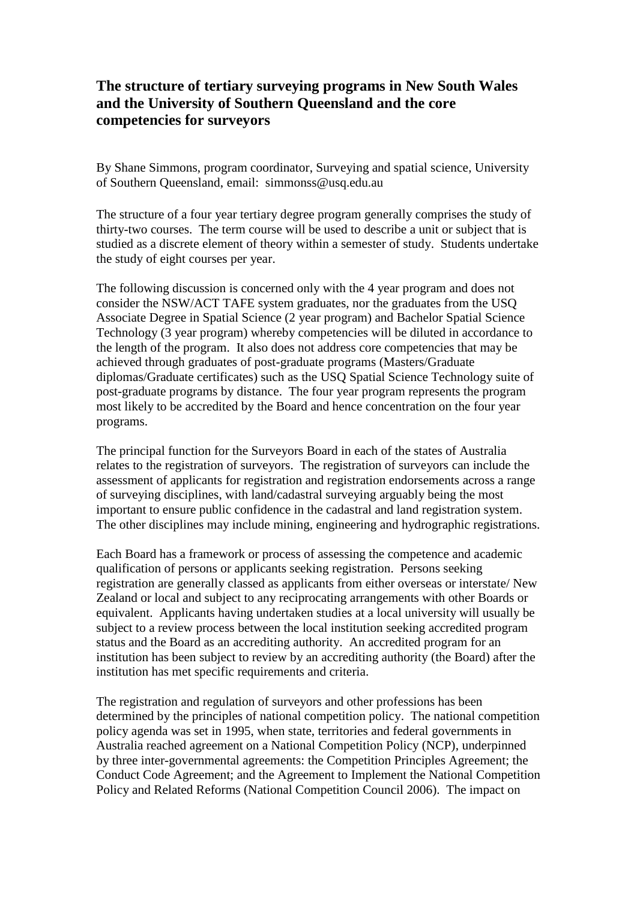## **The structure of tertiary surveying programs in New South Wales and the University of Southern Queensland and the core competencies for surveyors**

By Shane Simmons, program coordinator, Surveying and spatial science, University of Southern Queensland, email: simmonss@usq.edu.au

The structure of a four year tertiary degree program generally comprises the study of thirty-two courses. The term course will be used to describe a unit or subject that is studied as a discrete element of theory within a semester of study. Students undertake the study of eight courses per year.

The following discussion is concerned only with the 4 year program and does not consider the NSW/ACT TAFE system graduates, nor the graduates from the USQ Associate Degree in Spatial Science (2 year program) and Bachelor Spatial Science Technology (3 year program) whereby competencies will be diluted in accordance to the length of the program. It also does not address core competencies that may be achieved through graduates of post-graduate programs (Masters/Graduate diplomas/Graduate certificates) such as the USQ Spatial Science Technology suite of post-graduate programs by distance. The four year program represents the program most likely to be accredited by the Board and hence concentration on the four year programs.

The principal function for the Surveyors Board in each of the states of Australia relates to the registration of surveyors. The registration of surveyors can include the assessment of applicants for registration and registration endorsements across a range of surveying disciplines, with land/cadastral surveying arguably being the most important to ensure public confidence in the cadastral and land registration system. The other disciplines may include mining, engineering and hydrographic registrations.

Each Board has a framework or process of assessing the competence and academic qualification of persons or applicants seeking registration. Persons seeking registration are generally classed as applicants from either overseas or interstate/ New Zealand or local and subject to any reciprocating arrangements with other Boards or equivalent. Applicants having undertaken studies at a local university will usually be subject to a review process between the local institution seeking accredited program status and the Board as an accrediting authority. An accredited program for an institution has been subject to review by an accrediting authority (the Board) after the institution has met specific requirements and criteria.

The registration and regulation of surveyors and other professions has been determined by the principles of national competition policy. The national competition policy agenda was set in 1995, when state, territories and federal governments in Australia reached agreement on a National Competition Policy (NCP), underpinned by three inter-governmental agreements: the Competition Principles Agreement; the Conduct Code Agreement; and the Agreement to Implement the National Competition Policy and Related Reforms (National Competition Council 2006). The impact on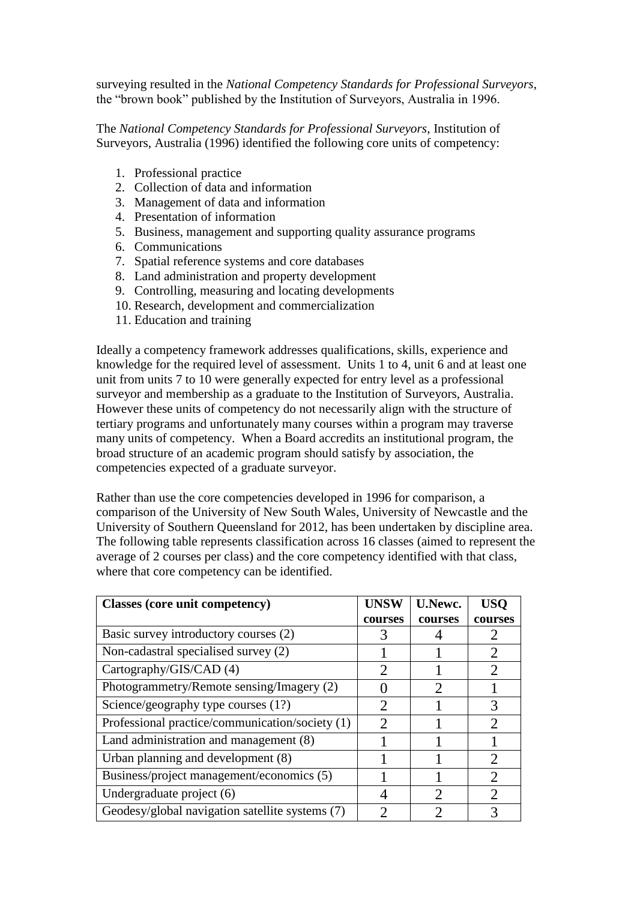surveying resulted in the *National Competency Standards for Professional Surveyors*, the "brown book" published by the Institution of Surveyors, Australia in 1996.

The *National Competency Standards for Professional Surveyors*, Institution of Surveyors, Australia (1996) identified the following core units of competency:

- 1. Professional practice
- 2. Collection of data and information
- 3. Management of data and information
- 4. Presentation of information
- 5. Business, management and supporting quality assurance programs
- 6. Communications
- 7. Spatial reference systems and core databases
- 8. Land administration and property development
- 9. Controlling, measuring and locating developments
- 10. Research, development and commercialization
- 11. Education and training

Ideally a competency framework addresses qualifications, skills, experience and knowledge for the required level of assessment. Units 1 to 4, unit 6 and at least one unit from units 7 to 10 were generally expected for entry level as a professional surveyor and membership as a graduate to the Institution of Surveyors, Australia. However these units of competency do not necessarily align with the structure of tertiary programs and unfortunately many courses within a program may traverse many units of competency. When a Board accredits an institutional program, the broad structure of an academic program should satisfy by association, the competencies expected of a graduate surveyor.

Rather than use the core competencies developed in 1996 for comparison, a comparison of the University of New South Wales, University of Newcastle and the University of Southern Queensland for 2012, has been undertaken by discipline area. The following table represents classification across 16 classes (aimed to represent the average of 2 courses per class) and the core competency identified with that class, where that core competency can be identified.

| <b>Classes (core unit competency)</b>           | <b>UNSW</b>                 | <b>U.Newc.</b>              | <b>USO</b>                  |
|-------------------------------------------------|-----------------------------|-----------------------------|-----------------------------|
|                                                 | courses                     | courses                     | courses                     |
| Basic survey introductory courses (2)           |                             |                             |                             |
| Non-cadastral specialised survey (2)            |                             |                             |                             |
| Cartography/GIS/CAD (4)                         | $\sum_{i=1}^{n}$            |                             | 2                           |
| Photogrammetry/Remote sensing/Imagery (2)       |                             | $\mathcal{D}_{\mathcal{A}}$ |                             |
| Science/geography type courses (1?)             | $\mathcal{D}_{\mathcal{L}}$ |                             |                             |
| Professional practice/communication/society (1) | $\mathcal{D}$               |                             | $\mathcal{D}_{\mathcal{A}}$ |
| Land administration and management (8)          |                             |                             |                             |
| Urban planning and development (8)              |                             |                             | $\mathcal{D}_{\cdot}$       |
| Business/project management/economics (5)       |                             |                             | $\mathcal{D}_{\mathcal{L}}$ |
| Undergraduate project (6)                       |                             | $\mathcal{D}_{\mathcal{A}}$ | 2                           |
| Geodesy/global navigation satellite systems (7) |                             |                             |                             |